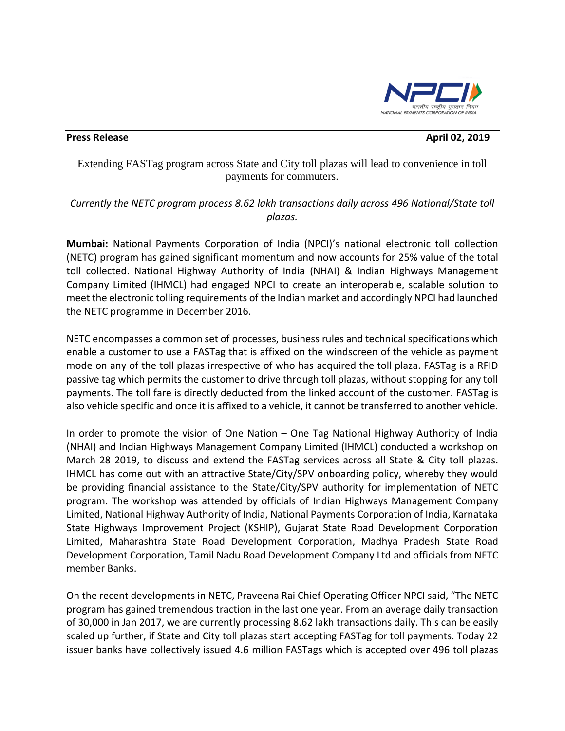

## **Press Release April 02, 2019 April 02, 2019**

Extending FASTag program across State and City toll plazas will lead to convenience in toll payments for commuters.

*Currently the NETC program process 8.62 lakh transactions daily across 496 National/State toll plazas.*

**Mumbai:** National Payments Corporation of India (NPCI)'s national electronic toll collection (NETC) program has gained significant momentum and now accounts for 25% value of the total toll collected. National Highway Authority of India (NHAI) & Indian Highways Management Company Limited (IHMCL) had engaged NPCI to create an interoperable, scalable solution to meet the electronic tolling requirements of the Indian market and accordingly NPCI had launched the NETC programme in December 2016.

NETC encompasses a common set of processes, business rules and technical specifications which enable a customer to use a FASTag that is affixed on the windscreen of the vehicle as payment mode on any of the toll plazas irrespective of who has acquired the toll plaza. FASTag is a RFID passive tag which permits the customer to drive through toll plazas, without stopping for any toll payments. The toll fare is directly deducted from the linked account of the customer. FASTag is also vehicle specific and once it is affixed to a vehicle, it cannot be transferred to another vehicle.

In order to promote the vision of One Nation – One Tag National Highway Authority of India (NHAI) and Indian Highways Management Company Limited (IHMCL) conducted a workshop on March 28 2019, to discuss and extend the FASTag services across all State & City toll plazas. IHMCL has come out with an attractive State/City/SPV onboarding policy, whereby they would be providing financial assistance to the State/City/SPV authority for implementation of NETC program. The workshop was attended by officials of Indian Highways Management Company Limited, National Highway Authority of India, National Payments Corporation of India, Karnataka State Highways Improvement Project (KSHIP), Gujarat State Road Development Corporation Limited, Maharashtra State Road Development Corporation, Madhya Pradesh State Road Development Corporation, Tamil Nadu Road Development Company Ltd and officials from NETC member Banks.

On the recent developments in NETC, Praveena Rai Chief Operating Officer NPCI said, "The NETC program has gained tremendous traction in the last one year. From an average daily transaction of 30,000 in Jan 2017, we are currently processing 8.62 lakh transactions daily. This can be easily scaled up further, if State and City toll plazas start accepting FASTag for toll payments. Today 22 issuer banks have collectively issued 4.6 million FASTags which is accepted over 496 toll plazas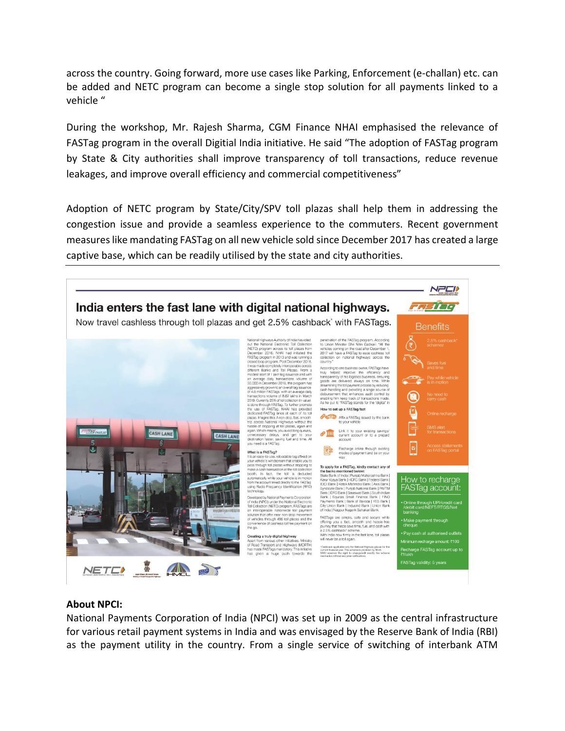across the country. Going forward, more use cases like Parking, Enforcement (e-challan) etc. can be added and NETC program can become a single stop solution for all payments linked to a vehicle "

During the workshop, Mr. Rajesh Sharma, CGM Finance NHAI emphasised the relevance of FASTag program in the overall Digitial India initiative. He said "The adoption of FASTag program by State & City authorities shall improve transparency of toll transactions, reduce revenue leakages, and improve overall efficiency and commercial competitiveness"

Adoption of NETC program by State/City/SPV toll plazas shall help them in addressing the congestion issue and provide a seamless experience to the commuters. Recent government measures like mandating FASTag on all new vehicle sold since December 2017 has created a large captive base, which can be readily utilised by the state and city authorities.



## **About NPCI:**

National Payments Corporation of India (NPCI) was set up in 2009 as the central infrastructure for various retail payment systems in India and was envisaged by the Reserve Bank of India (RBI) as the payment utility in the country. From a single service of switching of interbank ATM